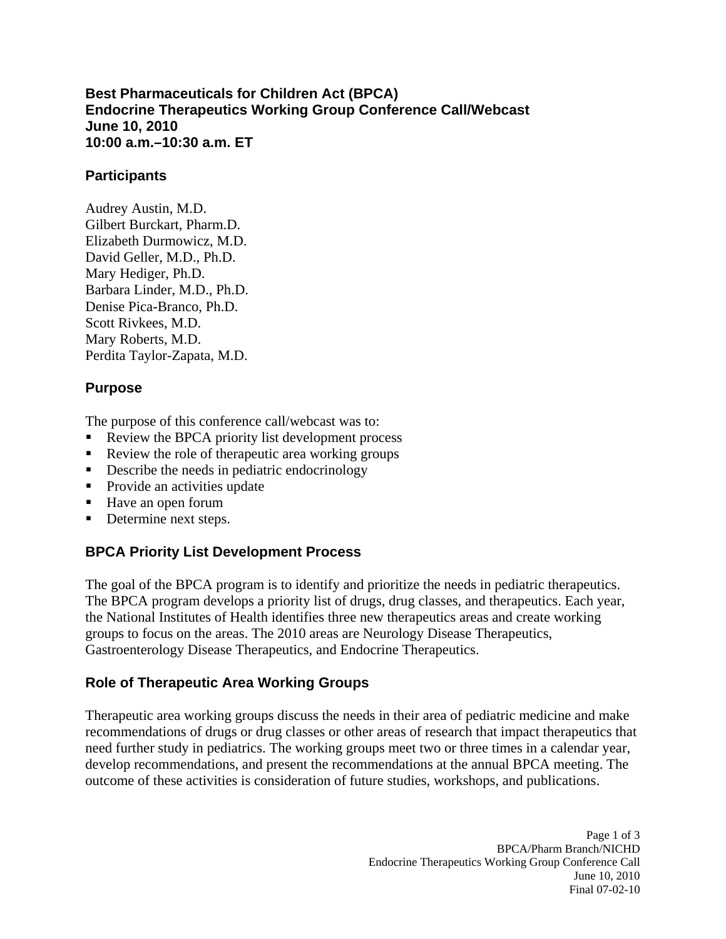**Best Pharmaceuticals for Children Act (BPCA) Endocrine Therapeutics Working Group Conference Call/Webcast June 10, 2010 10:00 a.m.–10:30 a.m. ET** 

#### **Participants**

Audrey Austin, M.D. Gilbert Burckart, Pharm.D. Elizabeth Durmowicz, M.D. David Geller, M.D., Ph.D. Mary Hediger, Ph.D. Barbara Linder, M.D., Ph.D. Denise Pica-Branco, Ph.D. Scott Rivkees, M.D. Mary Roberts, M.D. Perdita Taylor-Zapata, M.D.

### **Purpose**

The purpose of this conference call/webcast was to:

- . Review the BPCA priority list development process
- . Review the role of therapeutic area working groups
- . Describe the needs in pediatric endocrinology
- **Provide an activities update**
- Have an open forum
- $\blacksquare$ Determine next steps.

# **BPCA Priority List Development Process**

The goal of the BPCA program is to identify and prioritize the needs in pediatric therapeutics. The BPCA program develops a priority list of drugs, drug classes, and therapeutics. Each year, the National Institutes of Health identifies three new therapeutics areas and create working groups to focus on the areas. The 2010 areas are Neurology Disease Therapeutics, Gastroenterology Disease Therapeutics, and Endocrine Therapeutics.

#### **Role of Therapeutic Area Working Groups**

Therapeutic area working groups discuss the needs in their area of pediatric medicine and make recommendations of drugs or drug classes or other areas of research that impact therapeutics that need further study in pediatrics. The working groups meet two or three times in a calendar year, develop recommendations, and present the recommendations at the annual BPCA meeting. The outcome of these activities is consideration of future studies, workshops, and publications.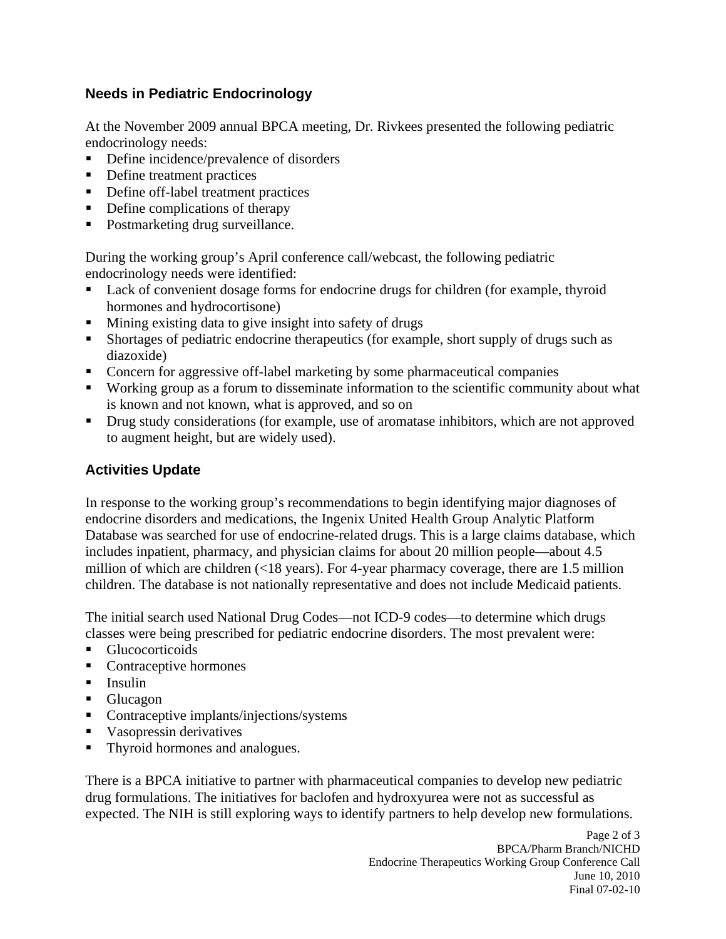### **Needs in Pediatric Endocrinology**

At the November 2009 annual BPCA meeting, Dr. Rivkees presented the following pediatric endocrinology needs:

- $\blacksquare$ Define incidence/prevalence of disorders
- Define treatment practices
- Define off-label treatment practices
- Define complications of therapy
- **Postmarketing drug surveillance.**

During the working group's April conference call/webcast, the following pediatric endocrinology needs were identified:

- **Lack of convenient dosage forms for endocrine drugs for children (for example, thyroid** hormones and hydrocortisone)
- . Mining existing data to give insight into safety of drugs
- **Shortages of pediatric endocrine therapeutics (for example, short supply of drugs such as** diazoxide)
- **Concern for aggressive off-label marketing by some pharmaceutical companies**
- Working group as a forum to disseminate information to the scientific community about what is known and not known, what is approved, and so on
- **•** Drug study considerations (for example, use of aromatase inhibitors, which are not approved to augment height, but are widely used).

# **Activities Update**

In response to the working group's recommendations to begin identifying major diagnoses of endocrine disorders and medications, the Ingenix United Health Group Analytic Platform Database was searched for use of endocrine-related drugs. This is a large claims database, which includes inpatient, pharmacy, and physician claims for about 20 million people—about 4.5 million of which are children (<18 years). For 4-year pharmacy coverage, there are 1.5 million children. The database is not nationally representative and does not include Medicaid patients.

The initial search used National Drug Codes—not ICD-9 codes—to determine which drugs classes were being prescribed for pediatric endocrine disorders. The most prevalent were:

- . Glucocorticoids
- Contraceptive hormones
- **Insulin**
- **Glucagon**
- Contraceptive implants/injections/systems
- **Vasopressin derivatives**
- $\blacksquare$ Thyroid hormones and analogues.

There is a BPCA initiative to partner with pharmaceutical companies to develop new pediatric drug formulations. The initiatives for baclofen and hydroxyurea were not as successful as expected. The NIH is still exploring ways to identify partners to help develop new formulations.

> Page 2 of 3 BPCA/Pharm Branch/NICHD Endocrine Therapeutics Working Group Conference Call June 10, 2010 Final 07-02-10